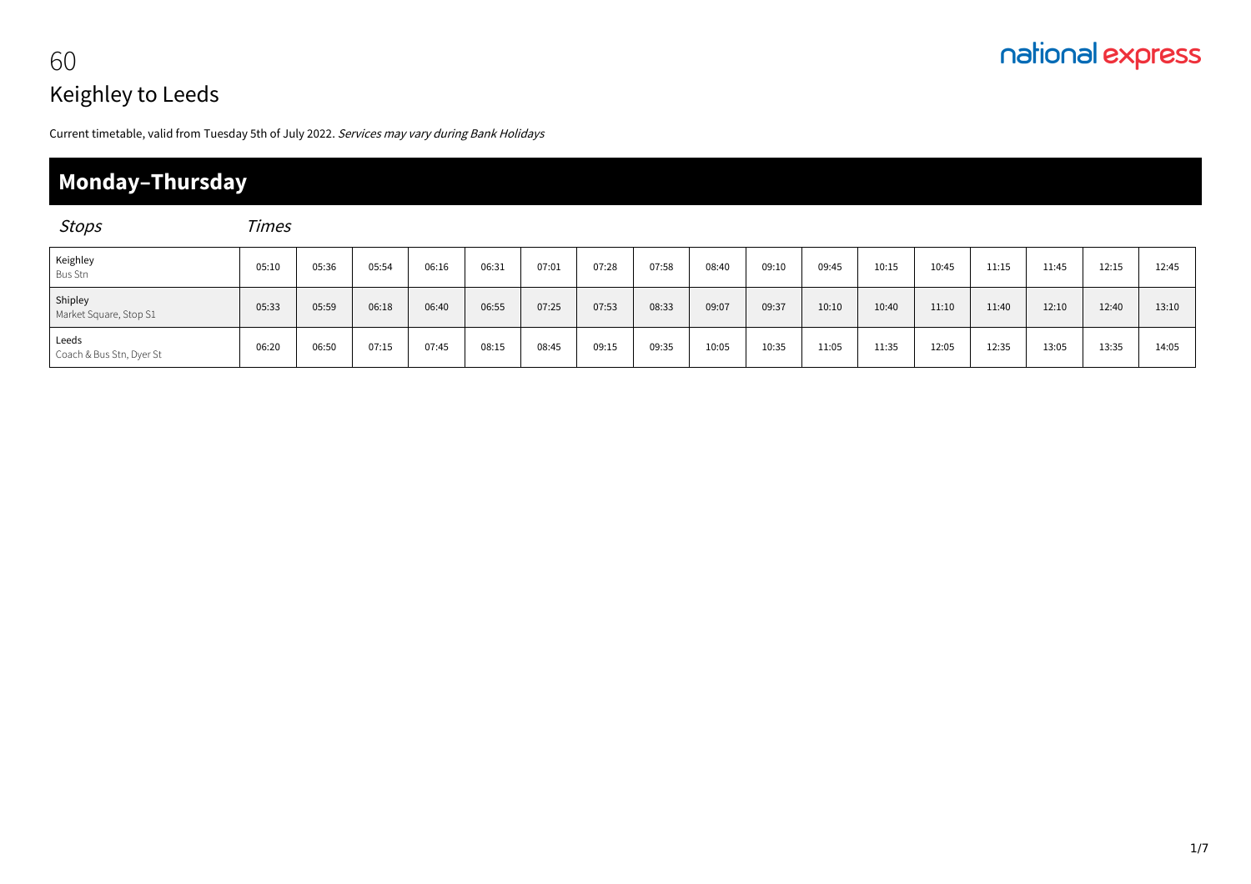## nationalexpress 60

# Keighley to Leeds

Current timetable, valid from Tuesday 5th of July 2022. Services may vary during Bank Holidays

### **Monday–Thursday**

| <b>Stops</b>                      | <b>Times</b> |       |       |       |       |       |       |       |       |       |       |       |       |       |       |       |       |
|-----------------------------------|--------------|-------|-------|-------|-------|-------|-------|-------|-------|-------|-------|-------|-------|-------|-------|-------|-------|
| Keighley<br>Bus Stn               | 05:10        | 05:36 | 05:54 | 06:16 | 06:31 | 07:01 | 07:28 | 07:58 | 08:40 | 09:10 | 09:45 | 10:15 | 10:45 | 11:15 | 11:45 | 12:15 | 12:45 |
| Shipley<br>Market Square, Stop S1 | 05:33        | 05:59 | 06:18 | 06:40 | 06:55 | 07:25 | 07:53 | 08:33 | 09:07 | 09:37 | 10:10 | 10:40 | 11:10 | 11:40 | 12:10 | 12:40 | 13:10 |
| Leeds<br>Coach & Bus Stn, Dyer St | 06:20        | 06:50 | 07:15 | 07:45 | 08:15 | 08:45 | 09:15 | 09:35 | 10:05 | 10:35 | 11:05 | 11:35 | 12:05 | 12:35 | 13:05 | 13:35 | 14:05 |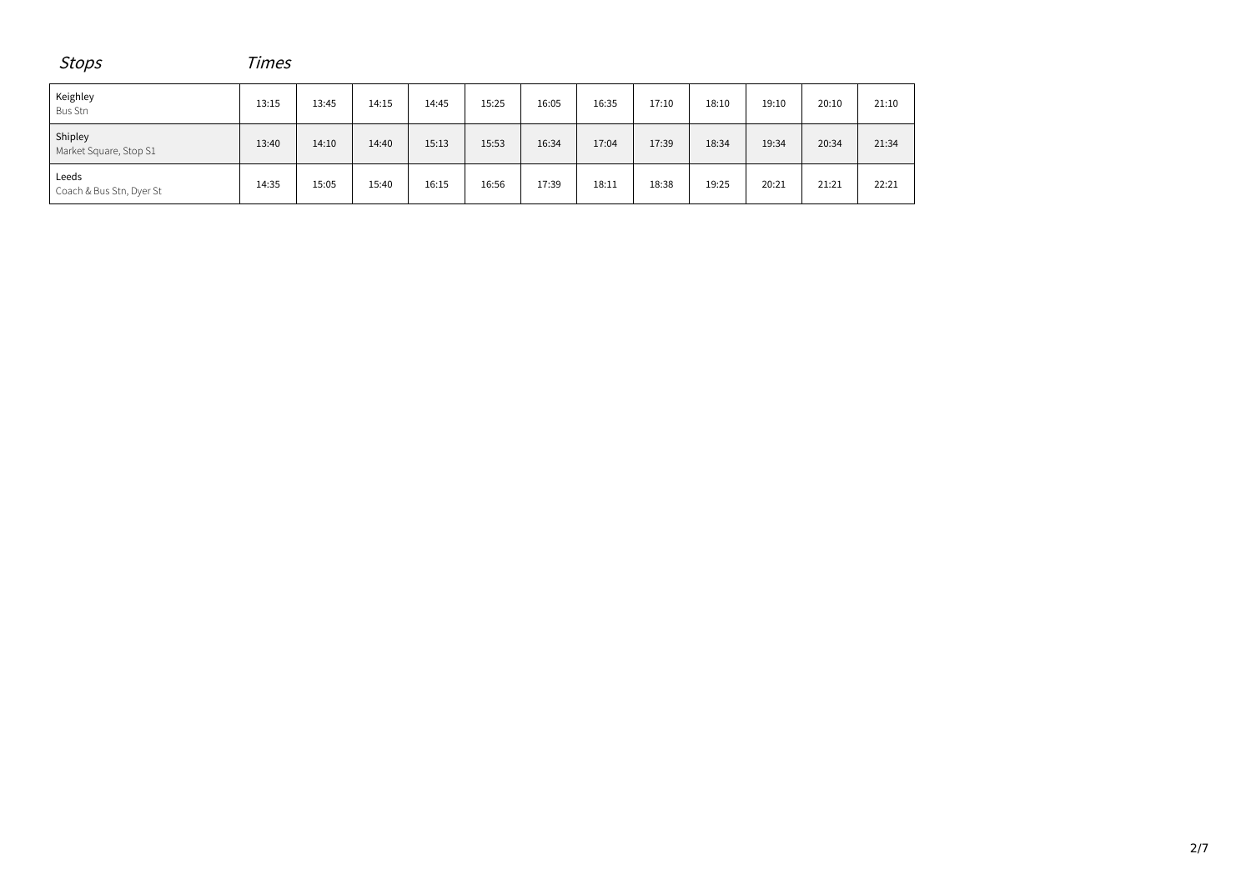| <b>Stops</b>                      | Times |       |       |       |       |       |       |       |       |       |       |       |  |
|-----------------------------------|-------|-------|-------|-------|-------|-------|-------|-------|-------|-------|-------|-------|--|
| Keighley<br><b>Bus Stn</b>        | 13:15 | 13:45 | 14:15 | 14:45 | 15:25 | 16:05 | 16:35 | 17:10 | 18:10 | 19:10 | 20:10 | 21:10 |  |
| Shipley<br>Market Square, Stop S1 | 13:40 | 14:10 | 14:40 | 15:13 | 15:53 | 16:34 | 17:04 | 17:39 | 18:34 | 19:34 | 20:34 | 21:34 |  |
| Leeds<br>Coach & Bus Stn, Dyer St | 14:35 | 15:05 | 15:40 | 16:15 | 16:56 | 17:39 | 18:11 | 18:38 | 19:25 | 20:21 | 21:21 | 22:21 |  |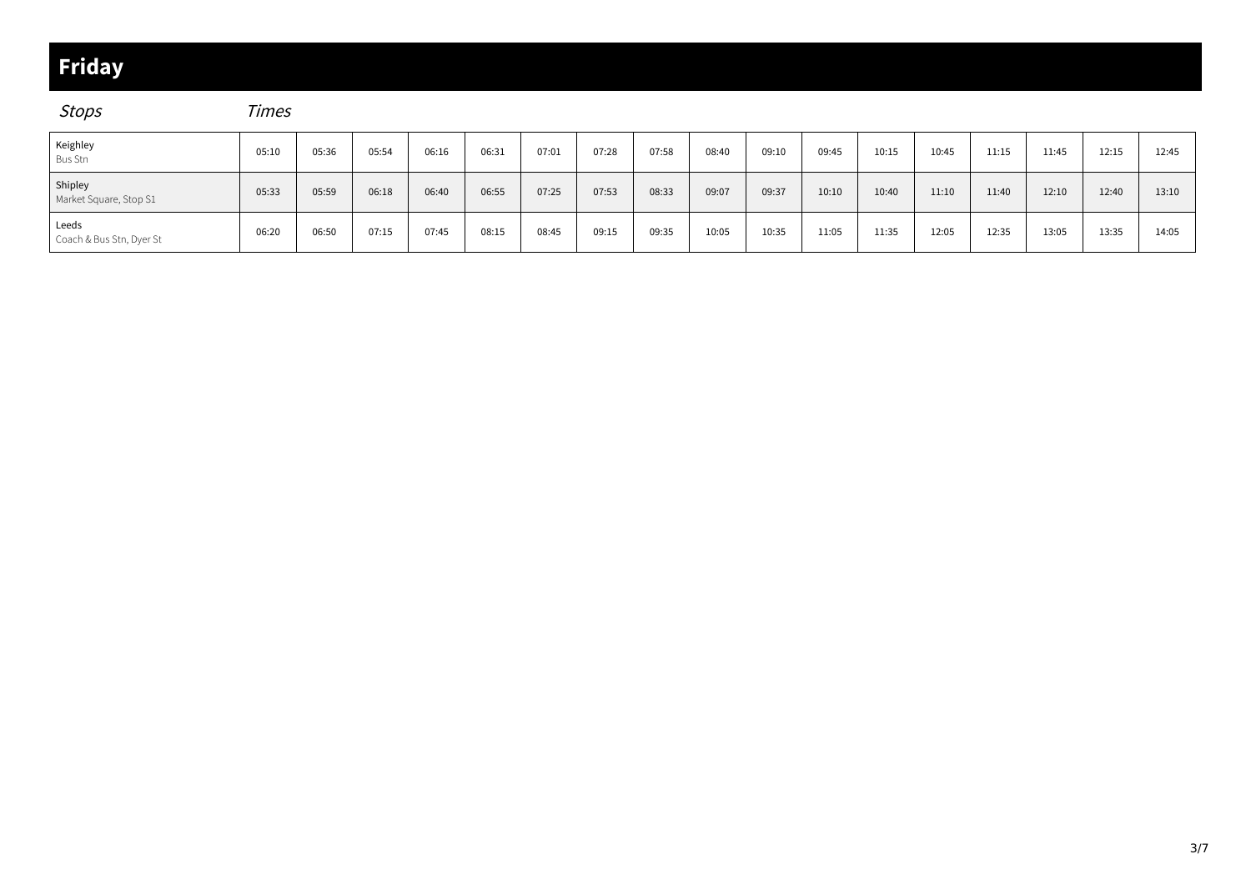### **Friday**

Stops Times

| Keighley<br><b>Bus Stn</b>        | 05:10 | 05:36 | 05:54 | 06:16 | 06:31 | 07:01 | 07:28 | 07:58 | 08:40 | 09:10 | 09:45 | 10:15 | 10:45 | 11:15 | 11:45 | 12:15 | 12:45 |
|-----------------------------------|-------|-------|-------|-------|-------|-------|-------|-------|-------|-------|-------|-------|-------|-------|-------|-------|-------|
| Shipley<br>Market Square, Stop S1 | 05:33 | 05:59 | 06:18 | 06:40 | 06:55 | 07:25 | 07:53 | 08:33 | 09:07 | 09:37 | 10:10 | 10:40 | 11:10 | 11:40 | 12:10 | 12:40 | 13:10 |
| Leeds<br>Coach & Bus Stn, Dyer St | 06:20 | 06:50 | 07:15 | 07:45 | 08:15 | 08:45 | 09:15 | 09:35 | 10:05 | 10:35 | 11:05 | 11:35 | 12:05 | 12:35 | 13:05 | 13:35 | 14:05 |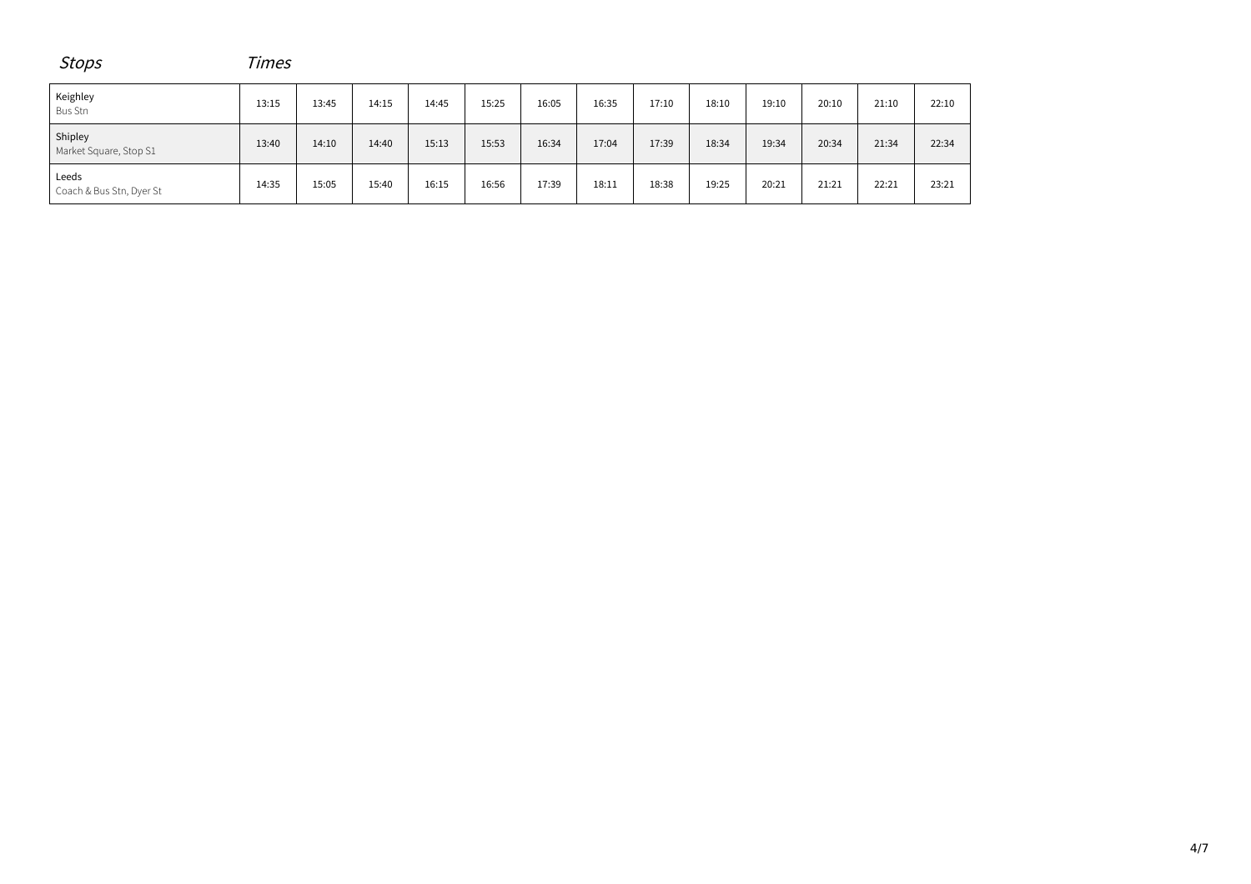| <b>Stops</b>                      | Times |       |       |       |       |       |       |       |       |       |       |       |       |
|-----------------------------------|-------|-------|-------|-------|-------|-------|-------|-------|-------|-------|-------|-------|-------|
| Keighley<br>Bus Stn               | 13:15 | 13:45 | 14:15 | 14:45 | 15:25 | 16:05 | 16:35 | 17:10 | 18:10 | 19:10 | 20:10 | 21:10 | 22:10 |
| Shipley<br>Market Square, Stop S1 | 13:40 | 14:10 | 14:40 | 15:13 | 15:53 | 16:34 | 17:04 | 17:39 | 18:34 | 19:34 | 20:34 | 21:34 | 22:34 |
| Leeds<br>Coach & Bus Stn, Dyer St | 14:35 | 15:05 | 15:40 | 16:15 | 16:56 | 17:39 | 18:11 | 18:38 | 19:25 | 20:21 | 21:21 | 22:21 | 23:21 |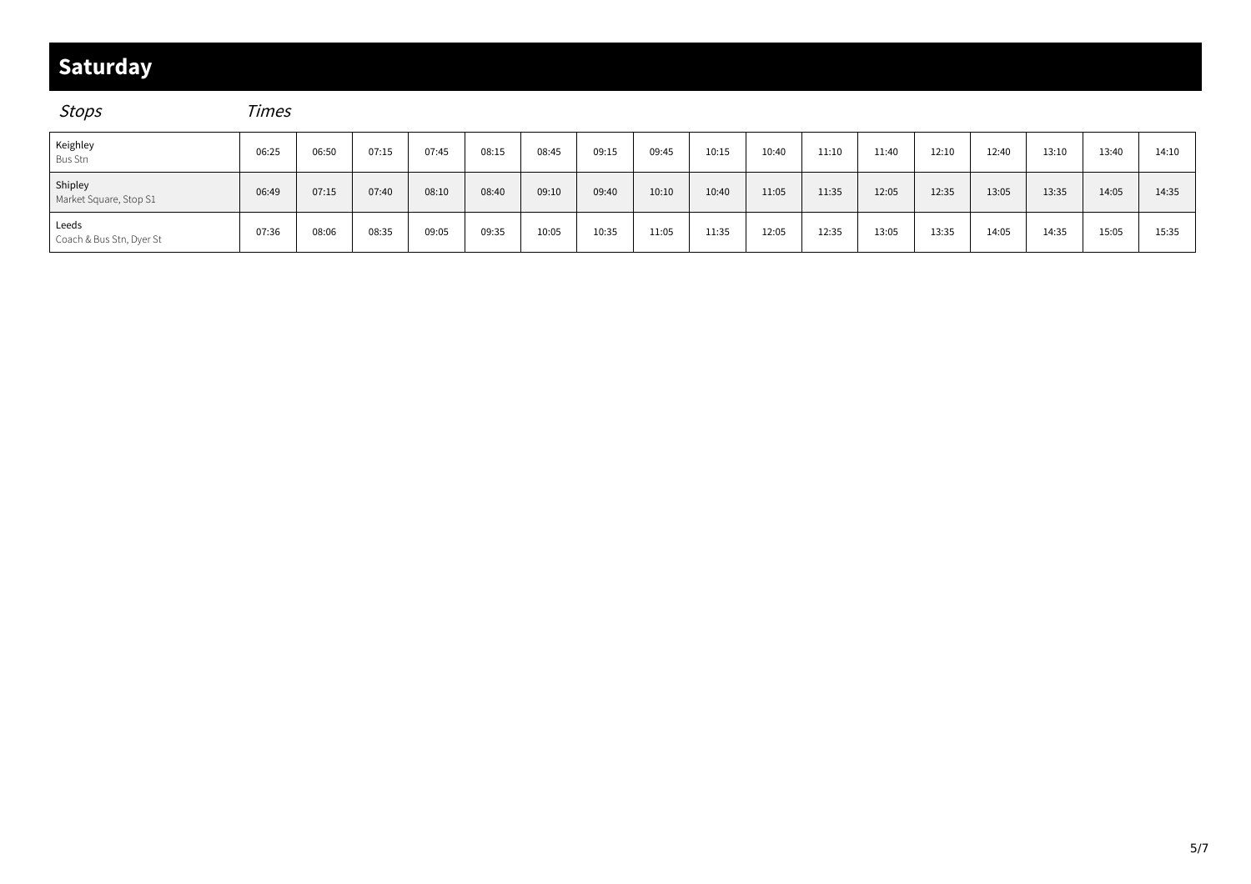### **Saturday**

### Stops Times

| Keighley<br>Bus Stn               | 06:25 | 06:50 | 07:15 | 07:45 | 08:15 | 08:45 | 09:15 | 09:45 | 10:15 | 10:40 | 11:10 | 11:40 | 12:10 | 12:40 | 13:10 | 13:40 | 14:10 |
|-----------------------------------|-------|-------|-------|-------|-------|-------|-------|-------|-------|-------|-------|-------|-------|-------|-------|-------|-------|
| Shipley<br>Market Square, Stop S1 | 06:49 | 07:15 | 07:40 | 08:10 | 08:40 | 09:10 | 09:40 | 10:10 | 10:40 | 11:05 | 11:35 | 12:05 | 12:35 | 13:05 | 13:35 | 14:05 | 14:35 |
| Leeds<br>Coach & Bus Stn, Dyer St | 07:36 | 08:06 | 08:35 | 09:05 | 09:35 | 10:05 | 10:35 | 11:05 | 11:35 | 12:05 | 12:35 | 13:05 | 13:35 | 14:05 | 14:35 | 15:05 | 15:35 |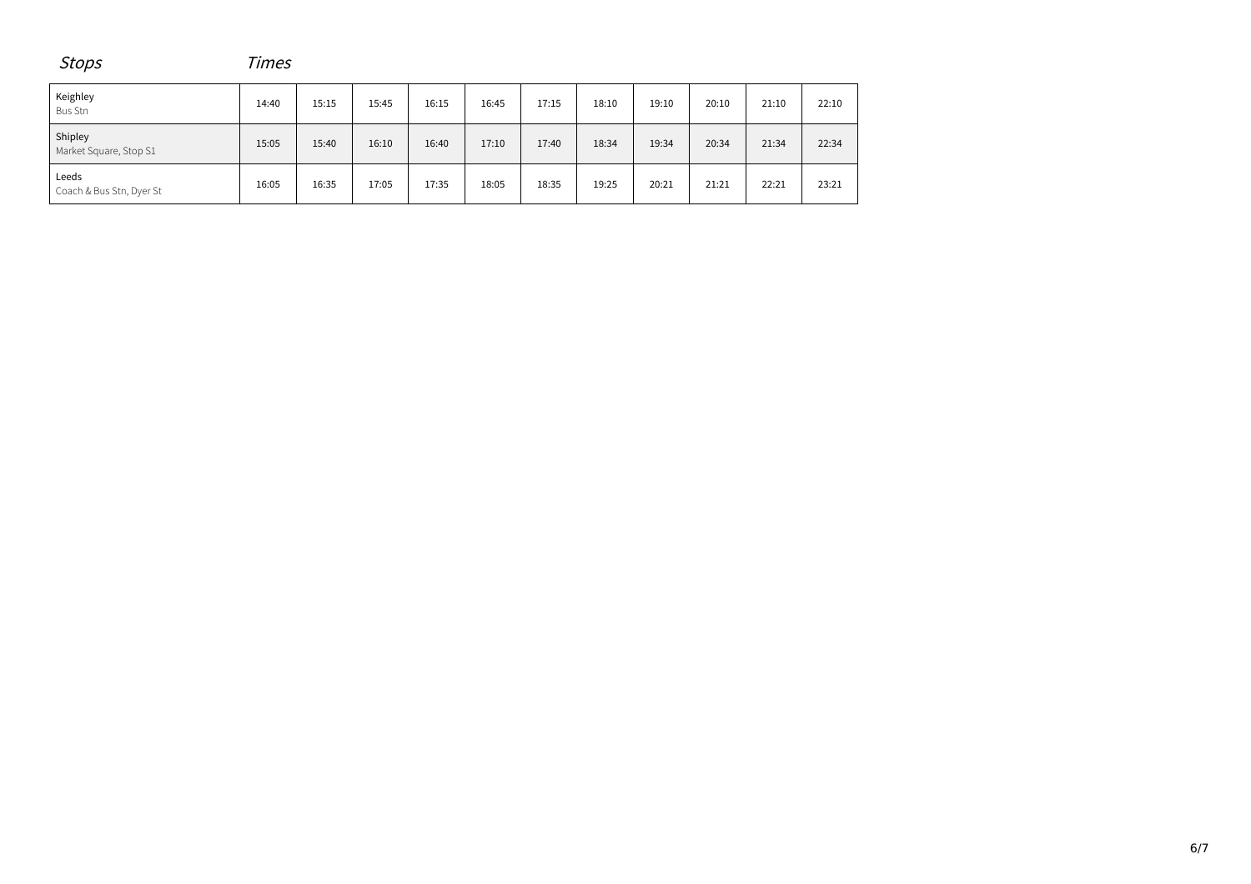| <b>Stops</b>                      | Times |       |       |       |       |       |       |       |       |       |       |  |  |  |
|-----------------------------------|-------|-------|-------|-------|-------|-------|-------|-------|-------|-------|-------|--|--|--|
| Keighley<br>Bus Stn               | 14:40 | 15:15 | 15:45 | 16:15 | 16:45 | 17:15 | 18:10 | 19:10 | 20:10 | 21:10 | 22:10 |  |  |  |
| Shipley<br>Market Square, Stop S1 | 15:05 | 15:40 | 16:10 | 16:40 | 17:10 | 17:40 | 18:34 | 19:34 | 20:34 | 21:34 | 22:34 |  |  |  |
| Leeds<br>Coach & Bus Stn, Dyer St | 16:05 | 16:35 | 17:05 | 17:35 | 18:05 | 18:35 | 19:25 | 20:21 | 21:21 | 22:21 | 23:21 |  |  |  |